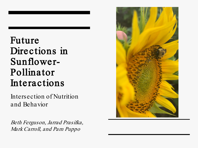#### Future Directions in Sunflower-Pollinator Interactions

Intersection of Nutrition and Behavior

Beth Ferguson, Jarrad Prasifka, Mark Carroll, and Pam Puppo

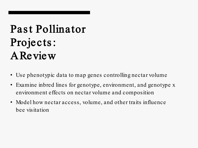## Past Pollinator Projects : **A Review**

- Use phenotypic data to map genes controlling nectar volume
- Examine inbred lines for genotype, environment, and genotype x environment effects on nectar volume and composition
- Model how nectar access, volume, and other traits influence bee visitation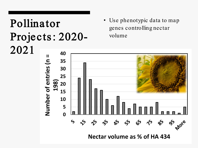## Pollinator Projects : 2020- 2021

• Use phenotypic data to map genes controlling nectar volume

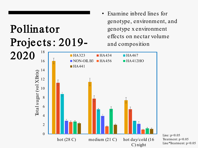# Pollinator Projects : 2019-

• Examine inbred lines for genotype, environment, and genotype x environment effects on nectar volume and composition



Line:  $p < 0.05$ Treatment: p<0.05 Line\*Treatment: p<0.05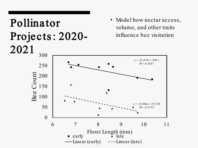

Model how nectar access, volume, and other traits influence bee visitation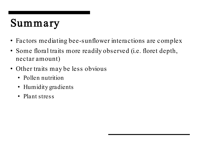- Factors mediating bee-sunflower interactions are complex
- Some floral traits more readily observed (i.e. floret depth, nectar amount)
- Other traits may be less obvious
	- Pollen nutrition
	- Humidity gradients
	- Plant stress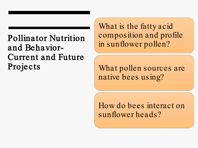#### Pollinator Nutrition and Behavior-Current and Future Projects

What is the fatty acid composition and profile in sunflower pollen?

What pollen sources are native bees using?

How do bees interact on sunflower heads?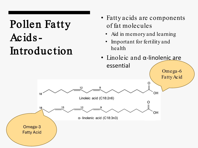## Pollen Fatty Acids-Introduction

- Fatty acids are components of fat molecules
	- Aid in memory and learning
	- Important for fertility and health
- Linoleic and α-linolenic are essential

Omega-6



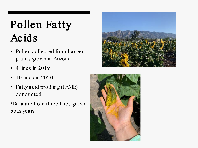## Pollen Fatty Acids

- Pollen collected from bagged plants grown in Arizona
- 4 lines in 2019
- 10 lines in 2020
- Fatty acid profiling (FAME) conducted

\*Data are from three lines grown both years



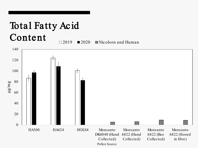#### Total Fatty Acid Content  $\Box$ 2019 **2020** Nicolson and Human



Pollen Source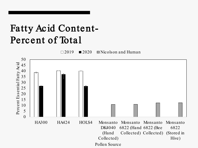### Fatty Acid Content-Percent of Total

 $\Box$ 2019 **2020** Nicolson and Human

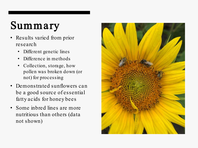- Results varied from prior research
	- Different genetic lines
	- Difference in methods
	- Collection, storage, how pollen was broken down (or not) for processing
- Demonstrated sunflowers can be a good source of essential fatty acids for honey bees
- Some inbred lines are more nutritious than others (data not shown)

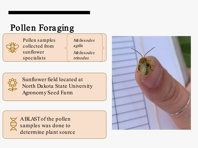#### Pollen Foraging



Pollen samples collected from sunflower specialists

Melissodes agilis Melissodes trinodus



Sunflower field located at North Dakota State University Agronomy Seed Farm



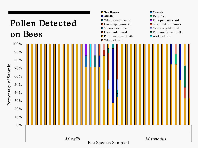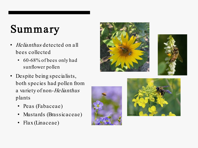- Helianthus detected on all bees collected
	- 60-68% of bees only had sunflower pollen
- Despite being specialists, both species had pollen from a variety of non-*He lianthus* plants
	- Peas (Fabaceae)
	- Mustards (Brassicaceae)
	- Flax (Linaceae)







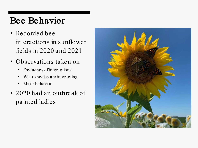#### Bee Behavior

- Recorded bee interactions in sunflower fields in 2020 and 2021
- Observations taken on
	- Frequency of interactions
	- What species are interacting
	- Major behavior
- 2020 had an outbreak of painted ladies

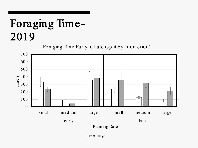## Foraging Time - 2019

Foraging Time Early to Late (split by interaction)



 $\Box$  no  $\Box$  yes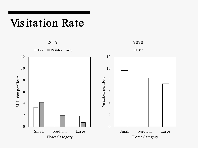### Vis itation Rate

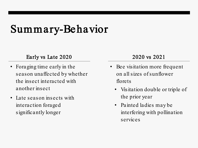### Summary-Behavior

#### Early vs Late 2020

- Foraging time early in the season unaffected by whether the insect interacted with another insect
- Late season insects with interaction foraged significantly longer

#### 2020 vs 2021

- Bee visitation more frequent on all sizes of sunflower florets
	- Visitation double or triple of the prior year
	- Painted ladies may be interfering with pollination services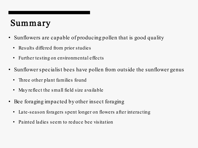- Sunflowers are capable of producing pollen that is good quality
	- Results differed from prior studies
	- Further testing on environmental effects
- Sunflower specialist bees have pollen from outside the sunflower genus
	- Three other plant families found
	- May reflect the small field size available
- Bee foraging impacted by other insect foraging
	- Late-season foragers spent longer on flowers after interacting
	- Painted ladies seem to reduce bee visitation